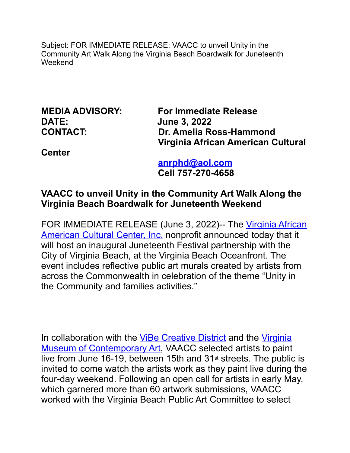Subject: FOR IMMEDIATE RELEASE: VAACC to unveil Unity in the Community Art Walk Along the Virginia Beach Boardwalk for Juneteenth Weekend

**DATE: June 3, 2022**

**MEDIA ADVISORY: For Immediate Release CONTACT: Dr. Amelia Ross-Hammond Virginia African American Cultural** 

**Center**

 **[anrphd@aol.com](mailto:anrphd@aol.com) Cell 757-270-4658**

# **VAACC to unveil Unity in the Community Art Walk Along the Virginia Beach Boardwalk for Juneteenth Weekend**

FOR IMMEDIATE RELEASE (June 3, 2022)-- The Virginia African [American Cultural Center, Inc.](https://www.vaaccvb.org/about-us.html) nonprofit announced today that it will host an inaugural Juneteenth Festival partnership with the City of Virginia Beach, at the Virginia Beach Oceanfront. The event includes reflective public art murals created by artists from across the Commonwealth in celebration of the theme "Unity in the Community and families activities."

In collaboration with the [ViBe Creative District](https://vibecreativedistrict.org/) and the [Virginia](https://virginiamoca.org/)  [Museum of Contemporary Art,](https://virginiamoca.org/) VAACC selected artists to paint live from June 16-19, between 15th and 31st streets. The public is invited to come watch the artists work as they paint live during the four-day weekend. Following an open call for artists in early May, which garnered more than 60 artwork submissions, VAACC worked with the Virginia Beach Public Art Committee to select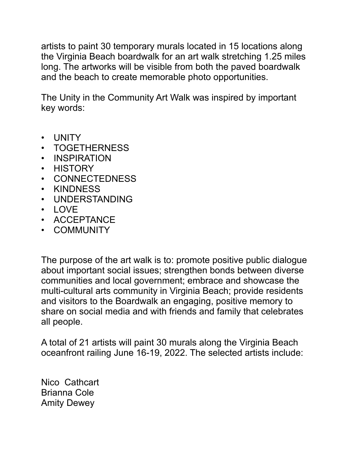artists to paint 30 temporary murals located in 15 locations along the Virginia Beach boardwalk for an art walk stretching 1.25 miles long. The artworks will be visible from both the paved boardwalk and the beach to create memorable photo opportunities.

The Unity in the Community Art Walk was inspired by important key words:

- UNITY
- TOGETHERNESS
- INSPIRATION
- HISTORY
- CONNECTEDNESS
- KINDNESS
- UNDERSTANDING
- LOVE
- ACCEPTANCE
- COMMUNITY

The purpose of the art walk is to: promote positive public dialogue about important social issues; strengthen bonds between diverse communities and local government; embrace and showcase the multi-cultural arts community in Virginia Beach; provide residents and visitors to the Boardwalk an engaging, positive memory to share on social media and with friends and family that celebrates all people.

A total of 21 artists will paint 30 murals along the Virginia Beach oceanfront railing June 16-19, 2022. The selected artists include:

Nico Cathcart Brianna Cole Amity Dewey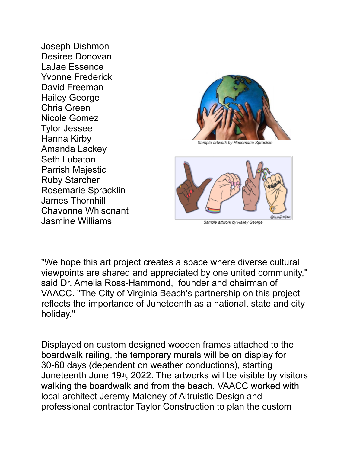Joseph Dishmon Desiree Donovan LaJae Essence Yvonne Frederick David Freeman Hailey George Chris Green Nicole Gomez Tylor Jessee Hanna Kirby Amanda Lackey Seth Lubaton Parrish Majestic Ruby Starcher Rosemarie Spracklin James Thornhill Chavonne Whisonant Jasmine Williams



ample artwork by Rosemarie Spracklin'



Sample artwork by Hailey George

"We hope this art project creates a space where diverse cultural viewpoints are shared and appreciated by one united community," said Dr. Amelia Ross-Hammond, founder and chairman of VAACC. "The City of Virginia Beach's partnership on this project reflects the importance of Juneteenth as a national, state and city holiday."

Displayed on custom designed wooden frames attached to the boardwalk railing, the temporary murals will be on display for 30-60 days (dependent on weather conductions), starting Juneteenth June 19th, 2022. The artworks will be visible by visitors walking the boardwalk and from the beach. VAACC worked with local architect Jeremy Maloney of Altruistic Design and professional contractor Taylor Construction to plan the custom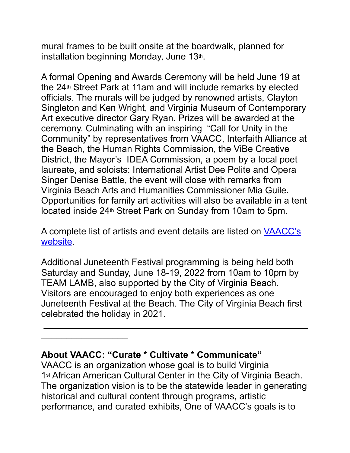mural frames to be built onsite at the boardwalk, planned for installation beginning Monday, June 13th.

A formal Opening and Awards Ceremony will be held June 19 at the 24th Street Park at 11am and will include remarks by elected officials. The murals will be judged by renowned artists, Clayton Singleton and Ken Wright, and Virginia Museum of Contemporary Art executive director Gary Ryan. Prizes will be awarded at the ceremony. Culminating with an inspiring "Call for Unity in the Community" by representatives from VAACC, Interfaith Alliance at the Beach, the Human Rights Commission, the ViBe Creative District, the Mayor's IDEA Commission, a poem by a local poet laureate, and soloists: International Artist Dee Polite and Opera Singer Denise Battle, the event will close with remarks from Virginia Beach Arts and Humanities Commissioner Mia Guile. Opportunities for family art activities will also be available in a tent located inside 24th Street Park on Sunday from 10am to 5pm.

A complete list of artists and event details are listed on [VAACC's](https://www.vaaccvb.org/)  [website](https://www.vaaccvb.org/).

Additional Juneteenth Festival programming is being held both Saturday and Sunday, June 18-19, 2022 from 10am to 10pm by TEAM LAMB, also supported by the City of Virginia Beach. Visitors are encouraged to enjoy both experiences as one Juneteenth Festival at the Beach. The City of Virginia Beach first celebrated the holiday in 2021.

 $\frac{1}{2}$  ,  $\frac{1}{2}$  ,  $\frac{1}{2}$  ,  $\frac{1}{2}$  ,  $\frac{1}{2}$  ,  $\frac{1}{2}$  ,  $\frac{1}{2}$  ,  $\frac{1}{2}$  ,  $\frac{1}{2}$  ,  $\frac{1}{2}$  ,  $\frac{1}{2}$  ,  $\frac{1}{2}$  ,  $\frac{1}{2}$  ,  $\frac{1}{2}$  ,  $\frac{1}{2}$  ,  $\frac{1}{2}$  ,  $\frac{1}{2}$  ,  $\frac{1}{2}$  ,  $\frac{1$ 

## **About VAACC: "Curate \* Cultivate \* Communicate"**

 $\overline{\phantom{a}}$ 

VAACC is an organization whose goal is to build Virginia 1<sup>st</sup> African American Cultural Center in the City of Virginia Beach. The organization vision is to be the statewide leader in generating historical and cultural content through programs, artistic performance, and curated exhibits, One of VAACC's goals is to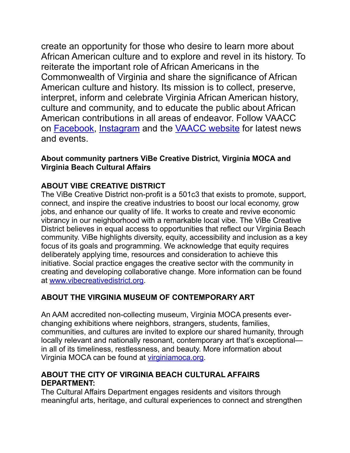create an opportunity for those who desire to learn more about African American culture and to explore and revel in its history. To reiterate the important role of African Americans in the Commonwealth of Virginia and share the significance of African American culture and history. Its mission is to collect, preserve, interpret, inform and celebrate Virginia African American history, culture and community, and to educate the public about African American contributions in all areas of endeavor. Follow VAACC on [Facebook](https://www.facebook.com/VirginiaAfricanAmericanCulturalCenter), [Instagram](https://www.instagram.com/vaaccvb/) and the [VAACC website](https://www.vaaccvb.org/about-us.html) for latest news and events.

#### **About community partners ViBe Creative District, Virginia MOCA and Virginia Beach Cultural Affairs**

## **ABOUT VIBE CREATIVE DISTRICT**

The ViBe Creative District non-profit is a 501c3 that exists to promote, support, connect, and inspire the creative industries to boost our local economy, grow jobs, and enhance our quality of life. It works to create and revive economic vibrancy in our neighborhood with a remarkable local vibe. The ViBe Creative District believes in equal access to opportunities that reflect our Virginia Beach community. ViBe highlights diversity, equity, accessibility and inclusion as a key focus of its goals and programming. We acknowledge that equity requires deliberately applying time, resources and consideration to achieve this initiative. Social practice engages the creative sector with the community in creating and developing collaborative change. More information can be found at [www.vibecreativedistrict.org](http://www.vibecreativedistrict.org/).

### **ABOUT THE VIRGINIA MUSEUM OF CONTEMPORARY ART**

An AAM accredited non-collecting museum, Virginia MOCA presents everchanging exhibitions where neighbors, strangers, students, families, communities, and cultures are invited to explore our shared humanity, through locally relevant and nationally resonant, contemporary art that's exceptional in all of its timeliness, restlessness, and beauty. More information about Virginia MOCA can be found at [virginiamoca.org](http://virginiamoca.org/).

### **ABOUT THE CITY OF VIRGINIA BEACH CULTURAL AFFAIRS DEPARTMENT:**

The Cultural Affairs Department engages residents and visitors through meaningful arts, heritage, and cultural experiences to connect and strengthen